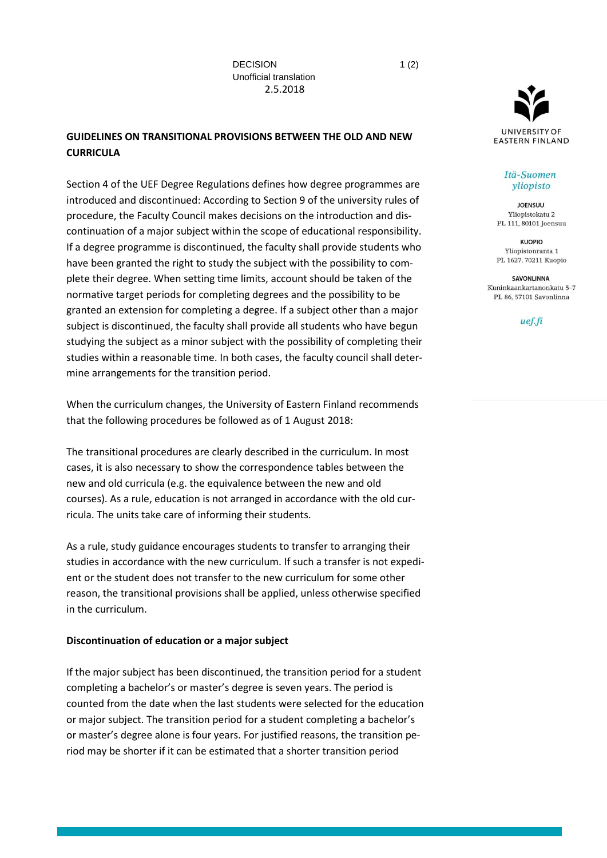# **GUIDELINES ON TRANSITIONAL PROVISIONS BETWEEN THE OLD AND NEW CURRICULA**

Section 4 of the UEF Degree Regulations defines how degree programmes are introduced and discontinued: According to Section 9 of the university rules of procedure, the Faculty Council makes decisions on the introduction and discontinuation of a major subject within the scope of educational responsibility. If a degree programme is discontinued, the faculty shall provide students who have been granted the right to study the subject with the possibility to complete their degree. When setting time limits, account should be taken of the normative target periods for completing degrees and the possibility to be granted an extension for completing a degree. If a subject other than a major subject is discontinued, the faculty shall provide all students who have begun studying the subject as a minor subject with the possibility of completing their studies within a reasonable time. In both cases, the faculty council shall determine arrangements for the transition period.

When the curriculum changes, the University of Eastern Finland recommends that the following procedures be followed as of 1 August 2018:

The transitional procedures are clearly described in the curriculum. In most cases, it is also necessary to show the correspondence tables between the new and old curricula (e.g. the equivalence between the new and old courses). As a rule, education is not arranged in accordance with the old curricula. The units take care of informing their students.

As a rule, study guidance encourages students to transfer to arranging their studies in accordance with the new curriculum. If such a transfer is not expedient or the student does not transfer to the new curriculum for some other reason, the transitional provisions shall be applied, unless otherwise specified in the curriculum.

#### **Discontinuation of education or a major subject**

If the major subject has been discontinued, the transition period for a student completing a bachelor's or master's degree is seven years. The period is counted from the date when the last students were selected for the education or major subject. The transition period for a student completing a bachelor's or master's degree alone is four years. For justified reasons, the transition period may be shorter if it can be estimated that a shorter transition period



#### Itä-Suomen yliopisto

**JOENSUU** Yliopistokatu 2 PL 111, 80101 Joensuu

**KUOPIO** Yliopistonranta 1 PL 1627, 70211 Kuopio

SAVONLINNA Kuninkaankartanonkatu 5-7 PL 86, 57101 Savonlinna

uef.fi